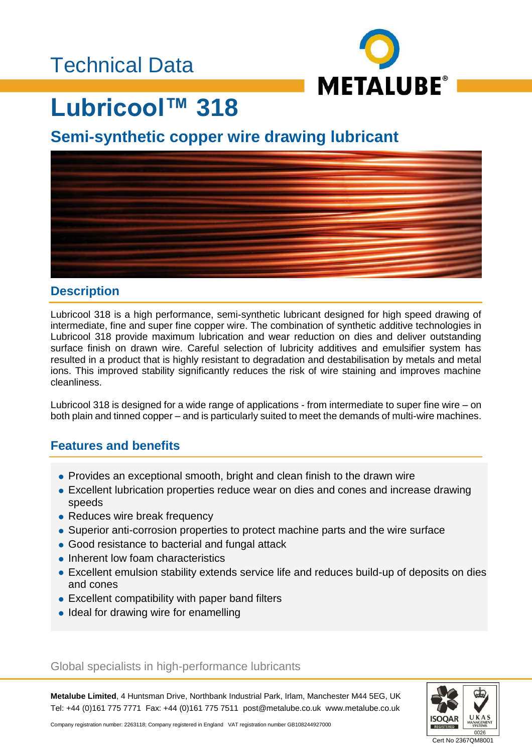### Technical Data



# **Lubricool™ 318**

### **Semi-synthetic copper wire drawing lubricant**



#### **Description**

Lubricool 318 is a high performance, semi-synthetic lubricant designed for high speed drawing of intermediate, fine and super fine copper wire. The combination of synthetic additive technologies in Lubricool 318 provide maximum lubrication and wear reduction on dies and deliver outstanding surface finish on drawn wire. Careful selection of lubricity additives and emulsifier system has resulted in a product that is highly resistant to degradation and destabilisation by metals and metal ions. This improved stability significantly reduces the risk of wire staining and improves machine cleanliness.

Lubricool 318 is designed for a wide range of applications - from intermediate to super fine wire – on both plain and tinned copper – and is particularly suited to meet the demands of multi-wire machines.

#### **Features and benefits**

- Provides an exceptional smooth, bright and clean finish to the drawn wire
- Excellent lubrication properties reduce wear on dies and cones and increase drawing speeds
- Reduces wire break frequency
- Superior anti-corrosion properties to protect machine parts and the wire surface
- Good resistance to bacterial and fungal attack
- Inherent low foam characteristics
- Excellent emulsion stability extends service life and reduces build-up of deposits on dies and cones
- Excellent compatibility with paper band filters
- Ideal for drawing wire for enamelling

#### Global specialists in high-performance lubricants

**Metalube Limited**, 4 Huntsman Drive, Northbank Industrial Park, Irlam, Manchester M44 5EG, UK Tel: +44 (0)161 775 7771 Fax: +44 (0)161 775 7511 post@metalube.co.uk www.metalube.co.uk



Company registration number: 2263118; Company registered in England VAT registration number GB108244927000

Cert No 2367QM8001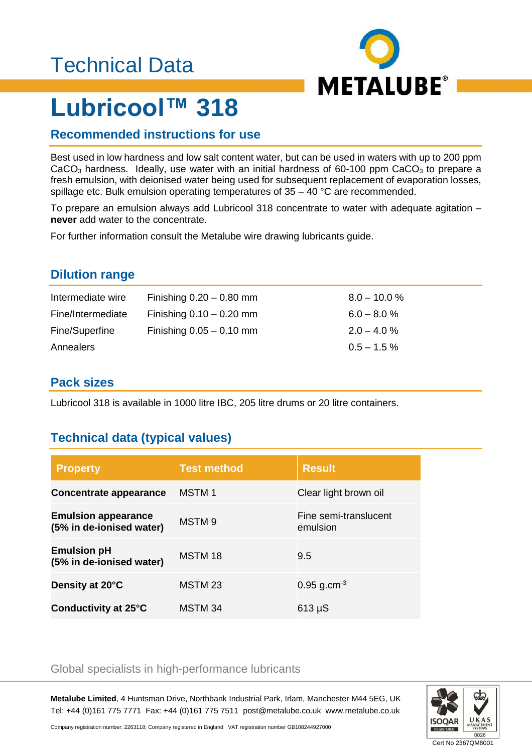## Technical Data



# **Lubricool™ 318**

#### **Recommended instructions for use**

Best used in low hardness and low salt content water, but can be used in waters with up to 200 ppm  $CaCO<sub>3</sub>$  hardness. Ideally, use water with an initial hardness of 60-100 ppm  $CaCO<sub>3</sub>$  to prepare a fresh emulsion, with deionised water being used for subsequent replacement of evaporation losses, spillage etc. Bulk emulsion operating temperatures of 35 – 40 °C are recommended.

To prepare an emulsion always add Lubricool 318 concentrate to water with adequate agitation – **never** add water to the concentrate.

For further information consult the Metalube wire drawing lubricants guide.

#### **Dilution range**

| Intermediate wire | Finishing $0.20 - 0.80$ mm | $8.0 - 10.0 \%$ |
|-------------------|----------------------------|-----------------|
| Fine/Intermediate | Finishing $0.10 - 0.20$ mm | $6.0 - 8.0 \%$  |
| Fine/Superfine    | Finishing $0.05 - 0.10$ mm | $2.0 - 4.0 \%$  |
| Annealers         |                            | $0.5 - 1.5 \%$  |

#### **Pack sizes**

Lubricool 318 is available in 1000 litre IBC, 205 litre drums or 20 litre containers.

#### **Technical data (typical values)**

| <b>Property</b>                                        | <b>Test method</b> | <b>Result</b>                     |
|--------------------------------------------------------|--------------------|-----------------------------------|
| Concentrate appearance                                 | MSTM 1             | Clear light brown oil             |
| <b>Emulsion appearance</b><br>(5% in de-ionised water) | MSTM <sub>9</sub>  | Fine semi-translucent<br>emulsion |
| <b>Emulsion pH</b><br>(5% in de-ionised water)         | MSTM 18            | 9.5                               |
| Density at 20°C                                        | MSTM 23            | $0.95$ g.cm <sup>-3</sup>         |
| Conductivity at 25°C                                   | MSTM 34            | $613 \mu S$                       |

#### Global specialists in high-performance lubricants

**Metalube Limited**, 4 Huntsman Drive, Northbank Industrial Park, Irlam, Manchester M44 5EG, UK Tel: +44 (0)161 775 7771 Fax: +44 (0)161 775 7511 post@metalube.co.uk www.metalube.co.uk



Company registration number: 2263118; Company registered in England VAT registration number GB108244927000

Cert No 2367QM8001